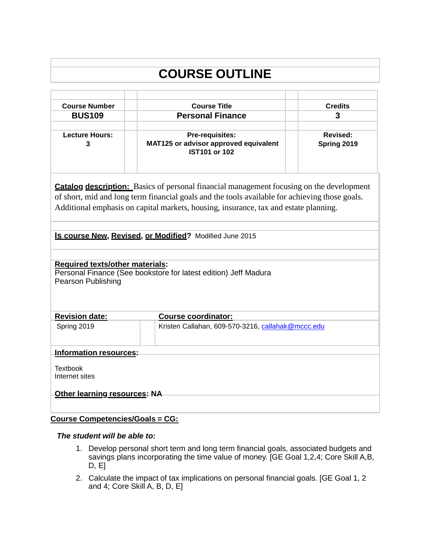# **COURSE OUTLINE**

| <b>Course Number</b>                                                                                                                                                                                                                                                                                                                                 | <b>Course Title</b>        |                                                                                  | <b>Credits</b>                 |  |
|------------------------------------------------------------------------------------------------------------------------------------------------------------------------------------------------------------------------------------------------------------------------------------------------------------------------------------------------------|----------------------------|----------------------------------------------------------------------------------|--------------------------------|--|
| <b>BUS109</b>                                                                                                                                                                                                                                                                                                                                        | <b>Personal Finance</b>    |                                                                                  | 3                              |  |
|                                                                                                                                                                                                                                                                                                                                                      |                            |                                                                                  |                                |  |
| <b>Lecture Hours:</b><br>3                                                                                                                                                                                                                                                                                                                           |                            | Pre-requisites:<br>MAT125 or advisor approved equivalent<br><b>IST101 or 102</b> | <b>Revised:</b><br>Spring 2019 |  |
| <b>Catalog description:</b> Basics of personal financial management focusing on the development<br>of short, mid and long term financial goals and the tools available for achieving those goals.<br>Additional emphasis on capital markets, housing, insurance, tax and estate planning.<br>Is course New, Revised, or Modified? Modified June 2015 |                            |                                                                                  |                                |  |
| <b>Required texts/other materials:</b><br>Personal Finance (See bookstore for latest edition) Jeff Madura<br><b>Pearson Publishing</b>                                                                                                                                                                                                               |                            |                                                                                  |                                |  |
| <b>Revision date:</b>                                                                                                                                                                                                                                                                                                                                | <b>Course coordinator:</b> |                                                                                  |                                |  |
| Spring 2019                                                                                                                                                                                                                                                                                                                                          |                            | Kristen Callahan, 609-570-3216, callahak@mccc.edu                                |                                |  |
| Information resources:                                                                                                                                                                                                                                                                                                                               |                            |                                                                                  |                                |  |
| <b>Textbook</b><br>Internet sites<br><b>Other learning resources: NA</b>                                                                                                                                                                                                                                                                             |                            |                                                                                  |                                |  |
|                                                                                                                                                                                                                                                                                                                                                      |                            |                                                                                  |                                |  |

### **Course Competencies/Goals = CG:**

#### *The student will be able to:*

- 1. Develop personal short term and long term financial goals, associated budgets and savings plans incorporating the time value of money. [GE Goal 1,2,4; Core Skill A,B, D, E]
- 2. Calculate the impact of tax implications on personal financial goals. [GE Goal 1, 2 and 4; Core Skill A, B, D, E]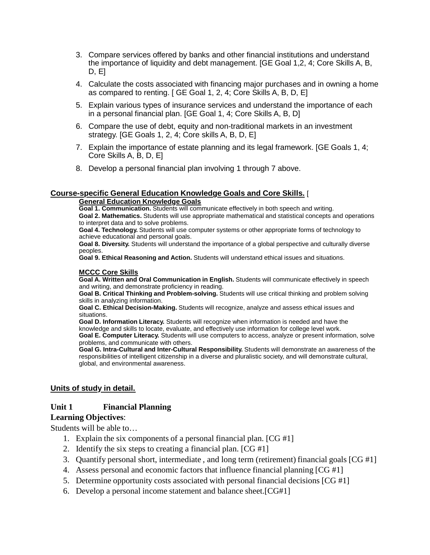- 3. Compare services offered by banks and other financial institutions and understand the importance of liquidity and debt management. [GE Goal 1,2, 4; Core Skills A, B, D, E]
- 4. Calculate the costs associated with financing major purchases and in owning a home as compared to renting. [ GE Goal 1, 2, 4; Core Skills A, B, D, E]
- 5. Explain various types of insurance services and understand the importance of each in a personal financial plan. [GE Goal 1, 4; Core Skills A, B, D]
- 6. Compare the use of debt, equity and non-traditional markets in an investment strategy. [GE Goals 1, 2, 4; Core skills A, B, D, E]
- 7. Explain the importance of estate planning and its legal framework. [GE Goals 1, 4; Core Skills A, B, D, E]
- 8. Develop a personal financial plan involving 1 through 7 above.

#### **Course-specific General Education Knowledge Goals and Core Skills.** [

#### **General Education Knowledge Goals**

**Goal 1. Communication.** Students will communicate effectively in both speech and writing.

**Goal 2. Mathematics.** Students will use appropriate mathematical and statistical concepts and operations to interpret data and to solve problems.

**Goal 4. Technology.** Students will use computer systems or other appropriate forms of technology to achieve educational and personal goals.

**Goal 8. Diversity.** Students will understand the importance of a global perspective and culturally diverse peoples.

**Goal 9. Ethical Reasoning and Action.** Students will understand ethical issues and situations.

#### **MCCC Core Skills**

**Goal A. Written and Oral Communication in English.** Students will communicate effectively in speech and writing, and demonstrate proficiency in reading.

**Goal B. Critical Thinking and Problem-solving.** Students will use critical thinking and problem solving skills in analyzing information.

**Goal C. Ethical Decision-Making.** Students will recognize, analyze and assess ethical issues and situations.

**Goal D. Information Literacy.** Students will recognize when information is needed and have the knowledge and skills to locate, evaluate, and effectively use information for college level work.

**Goal E. Computer Literacy.** Students will use computers to access, analyze or present information, solve problems, and communicate with others.

**Goal G. Intra-Cultural and Inter-Cultural Responsibility.** Students will demonstrate an awareness of the responsibilities of intelligent citizenship in a diverse and pluralistic society, and will demonstrate cultural, global, and environmental awareness.

#### **Units of study in detail.**

#### **Unit 1 Financial Planning**

#### **Learning Objectives**:

Students will be able to…

- 1. Explain the six components of a personal financial plan. [CG #1]
- 2. Identify the six steps to creating a financial plan.  $[CG #1]$
- 3. Quantify personal short, intermediate , and long term (retirement) financial goals [CG #1]
- 4. Assess personal and economic factors that influence financial planning [CG #1]
- 5. Determine opportunity costs associated with personal financial decisions [CG #1]
- 6. Develop a personal income statement and balance sheet.[CG#1]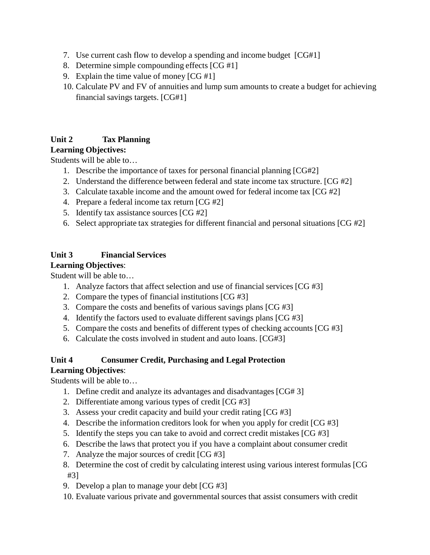- 7. Use current cash flow to develop a spending and income budget [CG#1]
- 8. Determine simple compounding effects [CG #1]
- 9. Explain the time value of money  $[CG #1]$
- 10. Calculate PV and FV of annuities and lump sum amounts to create a budget for achieving financial savings targets. [CG#1]

### **Unit 2 Tax Planning**

### **Learning Objectives:**

Students will be able to…

- 1. Describe the importance of taxes for personal financial planning [CG#2]
- 2. Understand the difference between federal and state income tax structure. [CG #2]
- 3. Calculate taxable income and the amount owed for federal income tax [CG #2]
- 4. Prepare a federal income tax return [CG #2]
- 5. Identify tax assistance sources [CG #2]
- 6. Select appropriate tax strategies for different financial and personal situations [CG #2]

### **Unit 3 Financial Services**

### **Learning Objectives**:

Student will be able to…

- 1. Analyze factors that affect selection and use of financial services [CG #3]
- 2. Compare the types of financial institutions [CG #3]
- 3. Compare the costs and benefits of various savings plans [CG #3]
- 4. Identify the factors used to evaluate different savings plans [CG #3]
- 5. Compare the costs and benefits of different types of checking accounts [CG #3]
- 6. Calculate the costs involved in student and auto loans. [CG#3]

### **Unit 4 Consumer Credit, Purchasing and Legal Protection**

### **Learning Objectives**:

Students will be able to…

- 1. Define credit and analyze its advantages and disadvantages [CG# 3]
- 2. Differentiate among various types of credit [CG #3]
- 3. Assess your credit capacity and build your credit rating [CG #3]
- 4. Describe the information creditors look for when you apply for credit [CG #3]
- 5. Identify the steps you can take to avoid and correct credit mistakes [CG #3]
- 6. Describe the laws that protect you if you have a complaint about consumer credit
- 7. Analyze the major sources of credit [CG #3]
- 8. Determine the cost of credit by calculating interest using various interest formulas [CG #3]
- 9. Develop a plan to manage your debt [CG #3]
- 10. Evaluate various private and governmental sources that assist consumers with credit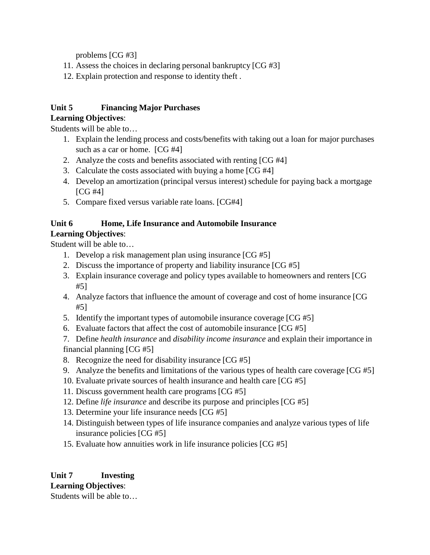problems [CG #3]

- 11. Assess the choices in declaring personal bankruptcy [CG #3]
- 12. Explain protection and response to identity theft .

### **Unit 5 Financing Major Purchases**

### **Learning Objectives**:

Students will be able to…

- 1. Explain the lending process and costs/benefits with taking out a loan for major purchases such as a car or home. [CG #4]
- 2. Analyze the costs and benefits associated with renting [CG #4]
- 3. Calculate the costs associated with buying a home [CG #4]
- 4. Develop an amortization (principal versus interest) schedule for paying back a mortgage [CG #4]
- 5. Compare fixed versus variable rate loans. [CG#4]

### **Unit 6 Home, Life Insurance and Automobile Insurance**

### **Learning Objectives**:

Student will be able to…

- 1. Develop a risk management plan using insurance [CG #5]
- 2. Discuss the importance of property and liability insurance [CG #5]
- 3. Explain insurance coverage and policy types available to homeowners and renters [CG #5]
- 4. Analyze factors that influence the amount of coverage and cost of home insurance [CG #5]
- 5. Identify the important types of automobile insurance coverage [CG #5]
- 6. Evaluate factors that affect the cost of automobile insurance [CG #5]

7. Define *health insurance* and *disability income insurance* and explain their importance in financial planning [CG #5]

- 8. Recognize the need for disability insurance [CG #5]
- 9. Analyze the benefits and limitations of the various types of health care coverage [CG #5]
- 10. Evaluate private sources of health insurance and health care [CG #5]
- 11. Discuss government health care programs [CG #5]
- 12. Define *life insurance* and describe its purpose and principles [CG #5]
- 13. Determine your life insurance needs [CG #5]
- 14. Distinguish between types of life insurance companies and analyze various types of life insurance policies [CG #5]
- 15. Evaluate how annuities work in life insurance policies [CG #5]

## **Unit 7 Investing**

### **Learning Objectives**:

Students will be able to…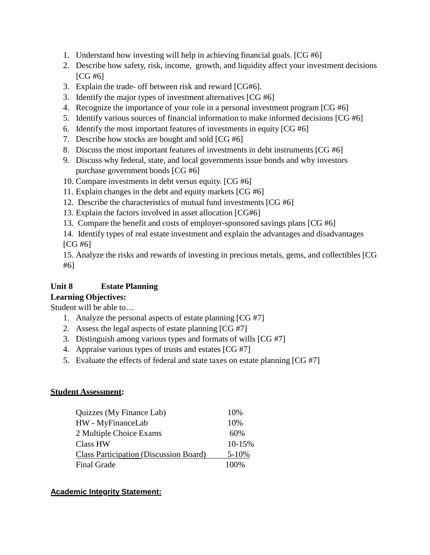- 1. Understand how investing will help in achieving financial goals. [CG #6]
- 2. Describe how safety, risk, income, growth, and liquidity affect your investment decisions [CG #6]
- 3. Explain the trade- off between risk and reward [CG#6].
- 3. Identify the major types of investment alternatives [CG #6]
- 4. Recognize the importance of your role in a personal investment program [CG #6]
- 5. Identify various sources of financial information to make informed decisions [CG #6]
- 6. Identify the most important features of investments in equity [CG #6]
- 7. Describe how stocks are bought and sold [CG #6]
- 8. Discuss the most important features of investments in debt instruments [CG #6]
- 9. Discuss why federal, state, and local governments issue bonds and why investors purchase government bonds [CG #6]
- 10. Compare investments in debt versus equity. [CG #6]
- 11. Explain changes in the debt and equity markets [CG #6]
- 12. Describe the characteristics of mutual fund investments [CG #6]
- 13. Explain the factors involved in asset allocation [CG#6]
- 13. Compare the benefit and costs of employer-sponsored savings plans [CG #6]
- 14. Identify types of real estate investment and explain the advantages and disadvantages [CG #6]

15. Analyze the risks and rewards of investing in precious metals, gems, and collectibles [CG #6]

### **Unit 8 Estate Planning**

### **Learning Objectives:**

Student will be able to…

- 1. Analyze the personal aspects of estate planning [CG #7]
- 2. Assess the legal aspects of estate planning [CG #7]
- 3. Distinguish among various types and formats of wills [CG #7]
- 4. Appraise various types of trusts and estates [CG #7]
- 5. Evaluate the effects of federal and state taxes on estate planning [CG #7]

### **Student Assessment:**

| Quizzes (My Finance Lab)                      | 10%        |
|-----------------------------------------------|------------|
| HW - MyFinanceLab                             | 10%        |
| 2 Multiple Choice Exams                       | 60%        |
| <b>Class HW</b>                               | $10 - 15%$ |
| <b>Class Participation (Discussion Board)</b> | $5 - 10%$  |
| <b>Final Grade</b>                            | 100%       |

### **Academic Integrity Statement:**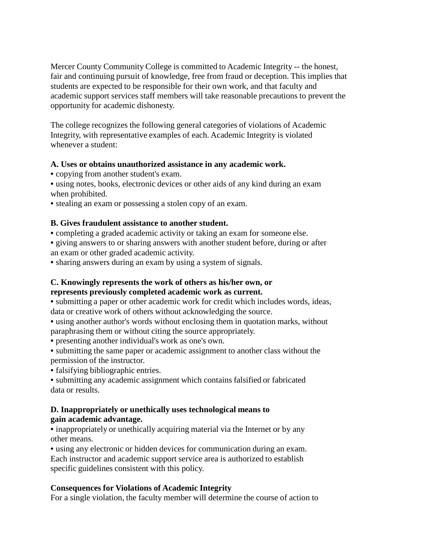Mercer County Community College is committed to Academic Integrity -- the honest, fair and continuing pursuit of knowledge, free from fraud or deception. This implies that students are expected to be responsible for their own work, and that faculty and academic support services staff members will take reasonable precautions to prevent the opportunity for academic dishonesty.

The college recognizes the following general categories of violations of Academic Integrity, with representative examples of each. Academic Integrity is violated whenever a student:

#### **A. Uses or obtains unauthorized assistance in any academic work.**

• copying from another student's exam.

• using notes, books, electronic devices or other aids of any kind during an exam when prohibited.

• stealing an exam or possessing a stolen copy of an exam.

#### **B. Gives fraudulent assistance to another student.**

• completing a graded academic activity or taking an exam for someone else.

• giving answers to or sharing answers with another student before, during or after an exam or other graded academic activity.

• sharing answers during an exam by using a system of signals.

### **C. Knowingly represents the work of others as his/her own, or represents previously completed academic work as current.**

• submitting a paper or other academic work for credit which includes words, ideas, data or creative work of others without acknowledging the source.

• using another author's words without enclosing them in quotation marks, without paraphrasing them or without citing the source appropriately.

• presenting another individual's work as one's own.

• submitting the same paper or academic assignment to another class without the permission of the instructor.

• falsifying bibliographic entries.

• submitting any academic assignment which contains falsified or fabricated data or results.

#### **D. Inappropriately or unethically uses technological means to gain academic advantage.**

• inappropriately or unethically acquiring material via the Internet or by any other means.

• using any electronic or hidden devices for communication during an exam. Each instructor and academic support service area is authorized to establish specific guidelines consistent with this policy.

#### **Consequences for Violations of Academic Integrity**

For a single violation, the faculty member will determine the course of action to